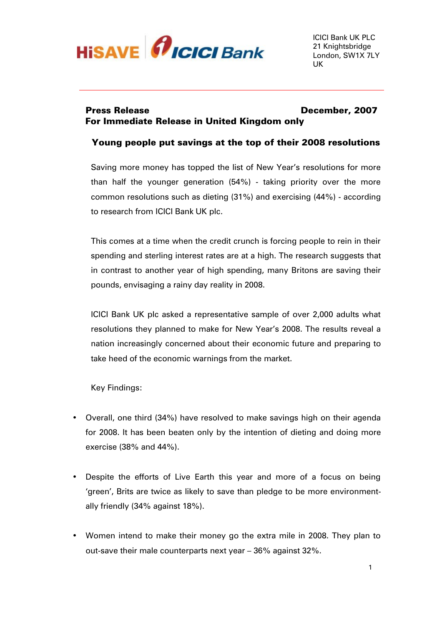

ICICI Bank UK PLC 21 Knightsbridge London, SW1X 7LY

## Press Release December, 2007 For Immediate Release in United Kingdom only

## Young people put savings at the top of their 2008 resolutions

Saving more money has topped the list of New Year's resolutions for more than half the younger generation (54%) - taking priority over the more common resolutions such as dieting (31%) and exercising (44%) - according to research from ICICI Bank UK plc.

This comes at a time when the credit crunch is forcing people to rein in their spending and sterling interest rates are at a high. The research suggests that in contrast to another year of high spending, many Britons are saving their pounds, envisaging a rainy day reality in 2008.

ICICI Bank UK plc asked a representative sample of over 2,000 adults what resolutions they planned to make for New Year's 2008. The results reveal a nation increasingly concerned about their economic future and preparing to take heed of the economic warnings from the market.

Key Findings:

- Overall, one third (34%) have resolved to make savings high on their agenda for 2008. It has been beaten only by the intention of dieting and doing more exercise (38% and 44%).
- Despite the efforts of Live Earth this year and more of a focus on being 'green', Brits are twice as likely to save than pledge to be more environmentally friendly (34% against 18%).
- Women intend to make their money go the extra mile in 2008. They plan to out-save their male counterparts next year – 36% against 32%.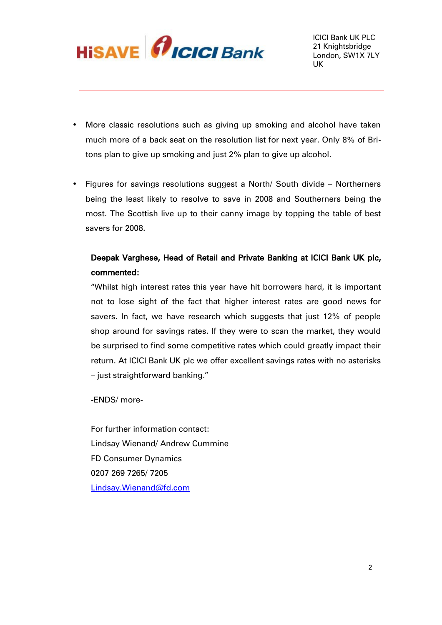$U(K)$   $U(K)$ 

- More classic resolutions such as giving up smoking and alcohol have taken much more of a back seat on the resolution list for next year. Only 8% of Britons plan to give up smoking and just 2% plan to give up alcohol.
- Figures for savings resolutions suggest a North/ South divide Northerners being the least likely to resolve to save in 2008 and Southerners being the most. The Scottish live up to their canny image by topping the table of best savers for 2008.

## Deepak Varghese, Head of Retail and Private Banking at ICICI Bank UK plc, commented:

"Whilst high interest rates this year have hit borrowers hard, it is important not to lose sight of the fact that higher interest rates are good news for savers. In fact, we have research which suggests that just 12% of people shop around for savings rates. If they were to scan the market, they would be surprised to find some competitive rates which could greatly impact their return. At ICICI Bank UK plc we offer excellent savings rates with no asterisks – just straightforward banking."

-ENDS/ more-

For further information contact: Lindsay Wienand/ Andrew Cummine FD Consumer Dynamics 0207 269 7265/ 7205 [Lindsay.Wienand@fd.com](mailto:Lindsay.Wienand@fd.com)